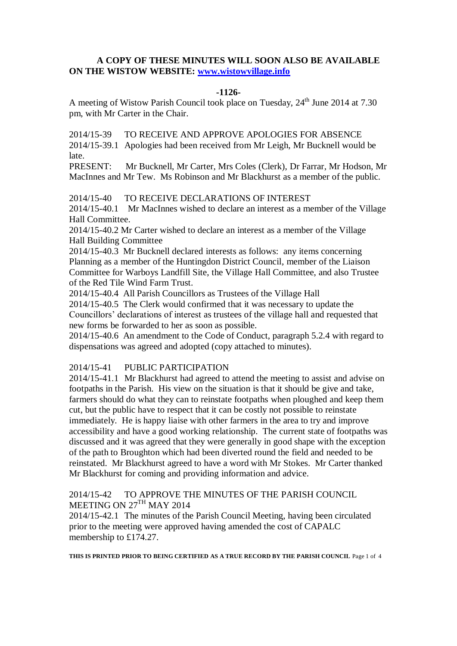# **A COPY OF THESE MINUTES WILL SOON ALSO BE AVAILABLE ON THE WISTOW WEBSITE: [www.wistowvillage.info](http://www.wistowvillage.info/)**

## **-1126-**

A meeting of Wistow Parish Council took place on Tuesday, 24<sup>th</sup> June 2014 at 7.30 pm, with Mr Carter in the Chair.

2014/15-39 TO RECEIVE AND APPROVE APOLOGIES FOR ABSENCE

2014/15-39.1 Apologies had been received from Mr Leigh, Mr Bucknell would be late.

PRESENT: Mr Bucknell, Mr Carter, Mrs Coles (Clerk), Dr Farrar, Mr Hodson, Mr MacInnes and Mr Tew. Ms Robinson and Mr Blackhurst as a member of the public.

2014/15-40 TO RECEIVE DECLARATIONS OF INTEREST

2014/15-40.1 Mr MacInnes wished to declare an interest as a member of the Village Hall Committee.

2014/15-40.2 Mr Carter wished to declare an interest as a member of the Village Hall Building Committee

2014/15-40.3 Mr Bucknell declared interests as follows: any items concerning Planning as a member of the Huntingdon District Council, member of the Liaison Committee for Warboys Landfill Site, the Village Hall Committee, and also Trustee of the Red Tile Wind Farm Trust.

2014/15-40.4 All Parish Councillors as Trustees of the Village Hall

2014/15-40.5 The Clerk would confirmed that it was necessary to update the Councillors' declarations of interest as trustees of the village hall and requested that new forms be forwarded to her as soon as possible.

2014/15-40.6 An amendment to the Code of Conduct, paragraph 5.2.4 with regard to dispensations was agreed and adopted (copy attached to minutes).

# 2014/15-41 PUBLIC PARTICIPATION

2014/15-41.1 Mr Blackhurst had agreed to attend the meeting to assist and advise on footpaths in the Parish. His view on the situation is that it should be give and take, farmers should do what they can to reinstate footpaths when ploughed and keep them cut, but the public have to respect that it can be costly not possible to reinstate immediately. He is happy liaise with other farmers in the area to try and improve accessibility and have a good working relationship. The current state of footpaths was discussed and it was agreed that they were generally in good shape with the exception of the path to Broughton which had been diverted round the field and needed to be reinstated. Mr Blackhurst agreed to have a word with Mr Stokes. Mr Carter thanked Mr Blackhurst for coming and providing information and advice.

# 2014/15-42 TO APPROVE THE MINUTES OF THE PARISH COUNCIL MEETING ON  $27^{\text{TH}}$  MAY 2014

2014/15-42.1 The minutes of the Parish Council Meeting, having been circulated prior to the meeting were approved having amended the cost of CAPALC membership to £174.27.

**THIS IS PRINTED PRIOR TO BEING CERTIFIED AS A TRUE RECORD BY THE PARISH COUNCIL** Page 1 of 4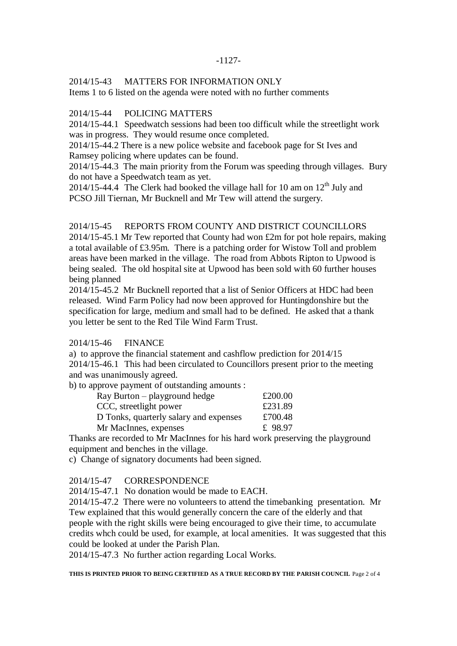#### -1127-

### 2014/15-43 MATTERS FOR INFORMATION ONLY

Items 1 to 6 listed on the agenda were noted with no further comments

# 2014/15-44 POLICING MATTERS

2014/15-44.1 Speedwatch sessions had been too difficult while the streetlight work was in progress. They would resume once completed.

2014/15-44.2 There is a new police website and facebook page for St Ives and Ramsey policing where updates can be found.

2014/15-44.3 The main priority from the Forum was speeding through villages. Bury do not have a Speedwatch team as yet.

2014/15-44.4 The Clerk had booked the village hall for 10 am on  $12<sup>th</sup>$  July and PCSO Jill Tiernan, Mr Bucknell and Mr Tew will attend the surgery.

### 2014/15-45 REPORTS FROM COUNTY AND DISTRICT COUNCILLORS

2014/15-45.1 Mr Tew reported that County had won £2m for pot hole repairs, making a total available of £3.95m. There is a patching order for Wistow Toll and problem areas have been marked in the village. The road from Abbots Ripton to Upwood is being sealed. The old hospital site at Upwood has been sold with 60 further houses being planned

2014/15-45.2 Mr Bucknell reported that a list of Senior Officers at HDC had been released. Wind Farm Policy had now been approved for Huntingdonshire but the specification for large, medium and small had to be defined. He asked that a thank you letter be sent to the Red Tile Wind Farm Trust.

### 2014/15-46 FINANCE

a) to approve the financial statement and cashflow prediction for 2014/15 2014/15-46.1 This had been circulated to Councillors present prior to the meeting and was unanimously agreed.

b) to approve payment of outstanding amounts :

| £200.00 |
|---------|
| £231.89 |
| £700.48 |
| £ 98.97 |
|         |

Thanks are recorded to Mr MacInnes for his hard work preserving the playground equipment and benches in the village.

c) Change of signatory documents had been signed.

### 2014/15-47 CORRESPONDENCE

2014/15-47.1 No donation would be made to EACH.

2014/15-47.2 There were no volunteers to attend the timebanking presentation. Mr Tew explained that this would generally concern the care of the elderly and that people with the right skills were being encouraged to give their time, to accumulate credits whch could be used, for example, at local amenities. It was suggested that this could be looked at under the Parish Plan.

2014/15-47.3 No further action regarding Local Works.

**THIS IS PRINTED PRIOR TO BEING CERTIFIED AS A TRUE RECORD BY THE PARISH COUNCIL** Page 2 of 4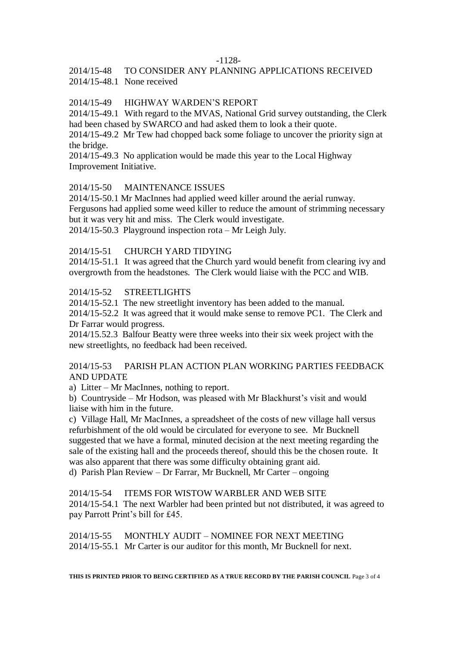#### -1128-

# 2014/15-48 TO CONSIDER ANY PLANNING APPLICATIONS RECEIVED 2014/15-48.1 None received

# 2014/15-49 HIGHWAY WARDEN'S REPORT

2014/15-49.1 With regard to the MVAS, National Grid survey outstanding, the Clerk had been chased by SWARCO and had asked them to look a their quote.

2014/15-49.2 Mr Tew had chopped back some foliage to uncover the priority sign at the bridge.

2014/15-49.3 No application would be made this year to the Local Highway Improvement Initiative.

### 2014/15-50 MAINTENANCE ISSUES

2014/15-50.1 Mr MacInnes had applied weed killer around the aerial runway. Fergusons had applied some weed killer to reduce the amount of strimming necessary but it was very hit and miss. The Clerk would investigate. 2014/15-50.3 Playground inspection rota – Mr Leigh July.

### 2014/15-51 CHURCH YARD TIDYING

2014/15-51.1 It was agreed that the Church yard would benefit from clearing ivy and overgrowth from the headstones. The Clerk would liaise with the PCC and WIB.

### 2014/15-52 STREETLIGHTS

2014/15-52.1 The new streetlight inventory has been added to the manual.

2014/15-52.2 It was agreed that it would make sense to remove PC1. The Clerk and Dr Farrar would progress.

2014/15.52.3 Balfour Beatty were three weeks into their six week project with the new streetlights, no feedback had been received.

# 2014/15-53 PARISH PLAN ACTION PLAN WORKING PARTIES FEEDBACK AND UPDATE

a) Litter – Mr MacInnes, nothing to report.

b) Countryside – Mr Hodson, was pleased with Mr Blackhurst's visit and would liaise with him in the future.

c) Village Hall, Mr MacInnes, a spreadsheet of the costs of new village hall versus refurbishment of the old would be circulated for everyone to see. Mr Bucknell suggested that we have a formal, minuted decision at the next meeting regarding the sale of the existing hall and the proceeds thereof, should this be the chosen route. It was also apparent that there was some difficulty obtaining grant aid.

d) Parish Plan Review – Dr Farrar, Mr Bucknell, Mr Carter – ongoing

2014/15-54 ITEMS FOR WISTOW WARBLER AND WEB SITE 2014/15-54.1 The next Warbler had been printed but not distributed, it was agreed to pay Parrott Print's bill for £45.

2014/15-55 MONTHLY AUDIT – NOMINEE FOR NEXT MEETING 2014/15-55.1 Mr Carter is our auditor for this month, Mr Bucknell for next.

**THIS IS PRINTED PRIOR TO BEING CERTIFIED AS A TRUE RECORD BY THE PARISH COUNCIL** Page 3 of 4